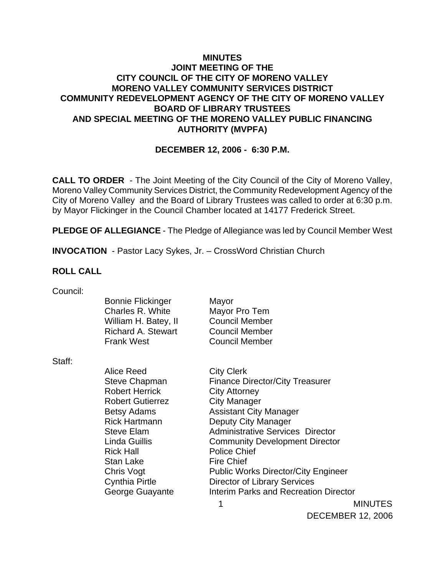### **MINUTES JOINT MEETING OF THE CITY COUNCIL OF THE CITY OF MORENO VALLEY MORENO VALLEY COMMUNITY SERVICES DISTRICT COMMUNITY REDEVELOPMENT AGENCY OF THE CITY OF MORENO VALLEY BOARD OF LIBRARY TRUSTEES AND SPECIAL MEETING OF THE MORENO VALLEY PUBLIC FINANCING AUTHORITY (MVPFA)**

### **DECEMBER 12, 2006 - 6:30 P.M.**

**CALL TO ORDER** - The Joint Meeting of the City Council of the City of Moreno Valley, Moreno Valley Community Services District, the Community Redevelopment Agency of the City of Moreno Valley and the Board of Library Trustees was called to order at 6:30 p.m. by Mayor Flickinger in the Council Chamber located at 14177 Frederick Street.

**PLEDGE OF ALLEGIANCE** - The Pledge of Allegiance was led by Council Member West

**INVOCATION** - Pastor Lacy Sykes, Jr. – CrossWord Christian Church

#### **ROLL CALL**

Council:

| UUUI IUII. |                           |                       |
|------------|---------------------------|-----------------------|
|            | <b>Bonnie Flickinger</b>  | Mayor                 |
|            | Charles R. White          | Mayor Pro Tem         |
|            | William H. Batey, II      | <b>Council Member</b> |
|            | <b>Richard A. Stewart</b> | <b>Council Member</b> |
|            | <b>Frank West</b>         | <b>Council Member</b> |
|            |                           |                       |

Staff:

 1 MINUTES Alice Reed City Clerk Steve Chapman Finance Director/City Treasurer Robert Herrick City Attorney Robert Gutierrez **City Manager** Betsy Adams Assistant City Manager Rick Hartmann Deputy City Manager Steve Elam **Administrative Services** Director Linda Guillis Community Development Director Rick Hall Police Chief Stan Lake Fire Chief Chris Vogt Public Works Director/City Engineer Cynthia Pirtle Director of Library Services George Guayante **Interim Parks and Recreation Director** 

DECEMBER 12, 2006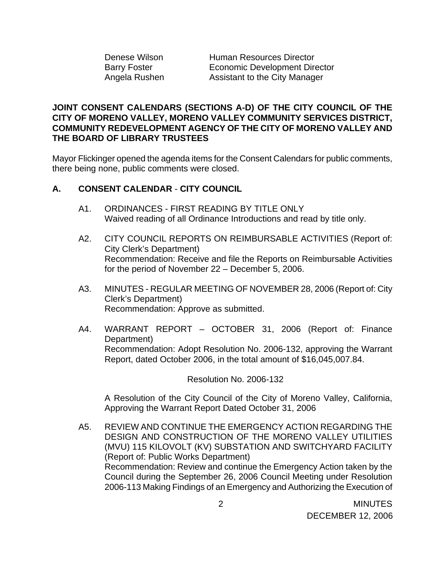Denese Wilson Human Resources Director Barry Foster **Economic Development Director** Angela Rushen Assistant to the City Manager

### **JOINT CONSENT CALENDARS (SECTIONS A-D) OF THE CITY COUNCIL OF THE CITY OF MORENO VALLEY, MORENO VALLEY COMMUNITY SERVICES DISTRICT, COMMUNITY REDEVELOPMENT AGENCY OF THE CITY OF MORENO VALLEY AND THE BOARD OF LIBRARY TRUSTEES**

Mayor Flickinger opened the agenda items for the Consent Calendars for public comments, there being none, public comments were closed.

# **A. CONSENT CALENDAR** - **CITY COUNCIL**

- A1. ORDINANCES FIRST READING BY TITLE ONLY Waived reading of all Ordinance Introductions and read by title only.
- A2. CITY COUNCIL REPORTS ON REIMBURSABLE ACTIVITIES (Report of: City Clerk's Department) Recommendation: Receive and file the Reports on Reimbursable Activities for the period of November 22 – December 5, 2006.
- A3. MINUTES REGULAR MEETING OF NOVEMBER 28, 2006 (Report of: City Clerk's Department) Recommendation: Approve as submitted.
- A4. WARRANT REPORT OCTOBER 31, 2006 (Report of: Finance Department) Recommendation: Adopt Resolution No. 2006-132, approving the Warrant Report, dated October 2006, in the total amount of \$16,045,007.84.

Resolution No. 2006-132

A Resolution of the City Council of the City of Moreno Valley, California, Approving the Warrant Report Dated October 31, 2006

A5. REVIEW AND CONTINUE THE EMERGENCY ACTION REGARDING THE DESIGN AND CONSTRUCTION OF THE MORENO VALLEY UTILITIES (MVU) 115 KILOVOLT (KV) SUBSTATION AND SWITCHYARD FACILITY (Report of: Public Works Department) Recommendation: Review and continue the Emergency Action taken by the Council during the September 26, 2006 Council Meeting under Resolution 2006-113 Making Findings of an Emergency and Authorizing the Execution of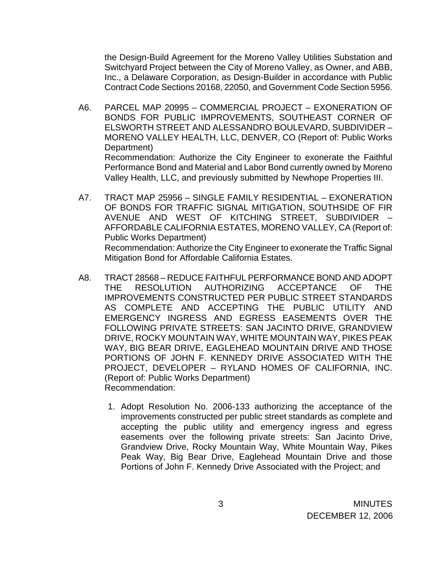the Design-Build Agreement for the Moreno Valley Utilities Substation and Switchyard Project between the City of Moreno Valley, as Owner, and ABB, Inc., a Delaware Corporation, as Design-Builder in accordance with Public Contract Code Sections 20168, 22050, and Government Code Section 5956.

- A6. PARCEL MAP 20995 COMMERCIAL PROJECT EXONERATION OF BONDS FOR PUBLIC IMPROVEMENTS, SOUTHEAST CORNER OF ELSWORTH STREET AND ALESSANDRO BOULEVARD, SUBDIVIDER – MORENO VALLEY HEALTH, LLC, DENVER, CO (Report of: Public Works Department) Recommendation: Authorize the City Engineer to exonerate the Faithful Performance Bond and Material and Labor Bond currently owned by Moreno Valley Health, LLC, and previously submitted by Newhope Properties III.
- A7. TRACT MAP 25956 SINGLE FAMILY RESIDENTIAL EXONERATION OF BONDS FOR TRAFFIC SIGNAL MITIGATION, SOUTHSIDE OF FIR AVENUE AND WEST OF KITCHING STREET, SUBDIVIDER – AFFORDABLE CALIFORNIA ESTATES, MORENO VALLEY, CA (Report of: Public Works Department) Recommendation: Authorize the City Engineer to exonerate the Traffic Signal Mitigation Bond for Affordable California Estates.
- A8. TRACT 28568 REDUCE FAITHFUL PERFORMANCE BOND AND ADOPT THE RESOLUTION AUTHORIZING ACCEPTANCE OF THE IMPROVEMENTS CONSTRUCTED PER PUBLIC STREET STANDARDS AS COMPLETE AND ACCEPTING THE PUBLIC UTILITY AND EMERGENCY INGRESS AND EGRESS EASEMENTS OVER THE FOLLOWING PRIVATE STREETS: SAN JACINTO DRIVE, GRANDVIEW DRIVE, ROCKY MOUNTAIN WAY, WHITE MOUNTAIN WAY, PIKES PEAK WAY, BIG BEAR DRIVE, EAGLEHEAD MOUNTAIN DRIVE AND THOSE PORTIONS OF JOHN F. KENNEDY DRIVE ASSOCIATED WITH THE PROJECT, DEVELOPER – RYLAND HOMES OF CALIFORNIA, INC. (Report of: Public Works Department) Recommendation:
	- 1. Adopt Resolution No. 2006-133 authorizing the acceptance of the improvements constructed per public street standards as complete and accepting the public utility and emergency ingress and egress easements over the following private streets: San Jacinto Drive, Grandview Drive, Rocky Mountain Way, White Mountain Way, Pikes Peak Way, Big Bear Drive, Eaglehead Mountain Drive and those Portions of John F. Kennedy Drive Associated with the Project; and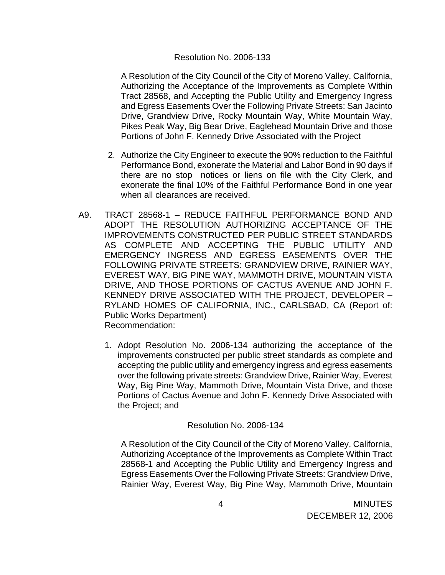#### Resolution No. 2006-133

A Resolution of the City Council of the City of Moreno Valley, California, Authorizing the Acceptance of the Improvements as Complete Within Tract 28568, and Accepting the Public Utility and Emergency Ingress and Egress Easements Over the Following Private Streets: San Jacinto Drive, Grandview Drive, Rocky Mountain Way, White Mountain Way, Pikes Peak Way, Big Bear Drive, Eaglehead Mountain Drive and those Portions of John F. Kennedy Drive Associated with the Project

- 2. Authorize the City Engineer to execute the 90% reduction to the Faithful Performance Bond, exonerate the Material and Labor Bond in 90 days if there are no stop notices or liens on file with the City Clerk, and exonerate the final 10% of the Faithful Performance Bond in one year when all clearances are received.
- A9. TRACT 28568-1 REDUCE FAITHFUL PERFORMANCE BOND AND ADOPT THE RESOLUTION AUTHORIZING ACCEPTANCE OF THE IMPROVEMENTS CONSTRUCTED PER PUBLIC STREET STANDARDS AS COMPLETE AND ACCEPTING THE PUBLIC UTILITY AND EMERGENCY INGRESS AND EGRESS EASEMENTS OVER THE FOLLOWING PRIVATE STREETS: GRANDVIEW DRIVE, RAINIER WAY, EVEREST WAY, BIG PINE WAY, MAMMOTH DRIVE, MOUNTAIN VISTA DRIVE, AND THOSE PORTIONS OF CACTUS AVENUE AND JOHN F. KENNEDY DRIVE ASSOCIATED WITH THE PROJECT, DEVELOPER – RYLAND HOMES OF CALIFORNIA, INC., CARLSBAD, CA (Report of: Public Works Department) Recommendation:
	- 1. Adopt Resolution No. 2006-134 authorizing the acceptance of the improvements constructed per public street standards as complete and accepting the public utility and emergency ingress and egress easements over the following private streets: Grandview Drive, Rainier Way, Everest Way, Big Pine Way, Mammoth Drive, Mountain Vista Drive, and those Portions of Cactus Avenue and John F. Kennedy Drive Associated with the Project; and

### Resolution No. 2006-134

A Resolution of the City Council of the City of Moreno Valley, California, Authorizing Acceptance of the Improvements as Complete Within Tract 28568-1 and Accepting the Public Utility and Emergency Ingress and Egress Easements Over the Following Private Streets: Grandview Drive, Rainier Way, Everest Way, Big Pine Way, Mammoth Drive, Mountain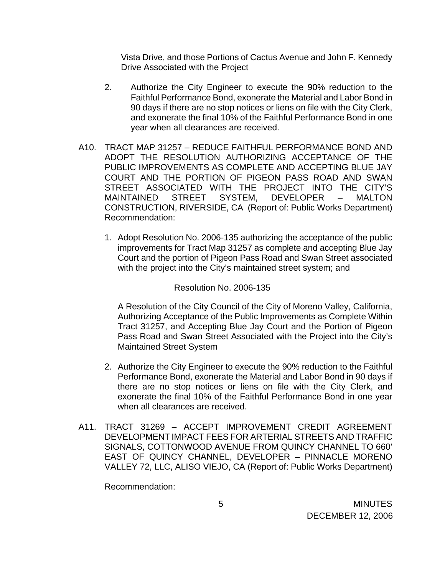Vista Drive, and those Portions of Cactus Avenue and John F. Kennedy Drive Associated with the Project

- 2. Authorize the City Engineer to execute the 90% reduction to the Faithful Performance Bond, exonerate the Material and Labor Bond in 90 days if there are no stop notices or liens on file with the City Clerk, and exonerate the final 10% of the Faithful Performance Bond in one year when all clearances are received.
- A10. TRACT MAP 31257 REDUCE FAITHFUL PERFORMANCE BOND AND ADOPT THE RESOLUTION AUTHORIZING ACCEPTANCE OF THE PUBLIC IMPROVEMENTS AS COMPLETE AND ACCEPTING BLUE JAY COURT AND THE PORTION OF PIGEON PASS ROAD AND SWAN STREET ASSOCIATED WITH THE PROJECT INTO THE CITY'S MAINTAINED STREET SYSTEM, DEVELOPER – MALTON CONSTRUCTION, RIVERSIDE, CA (Report of: Public Works Department) Recommendation:
	- 1. Adopt Resolution No. 2006-135 authorizing the acceptance of the public improvements for Tract Map 31257 as complete and accepting Blue Jay Court and the portion of Pigeon Pass Road and Swan Street associated with the project into the City's maintained street system; and

#### Resolution No. 2006-135

A Resolution of the City Council of the City of Moreno Valley, California, Authorizing Acceptance of the Public Improvements as Complete Within Tract 31257, and Accepting Blue Jay Court and the Portion of Pigeon Pass Road and Swan Street Associated with the Project into the City's Maintained Street System

- 2. Authorize the City Engineer to execute the 90% reduction to the Faithful Performance Bond, exonerate the Material and Labor Bond in 90 days if there are no stop notices or liens on file with the City Clerk, and exonerate the final 10% of the Faithful Performance Bond in one year when all clearances are received.
- A11. TRACT 31269 ACCEPT IMPROVEMENT CREDIT AGREEMENT DEVELOPMENT IMPACT FEES FOR ARTERIAL STREETS AND TRAFFIC SIGNALS, COTTONWOOD AVENUE FROM QUINCY CHANNEL TO 660' EAST OF QUINCY CHANNEL, DEVELOPER – PINNACLE MORENO VALLEY 72, LLC, ALISO VIEJO, CA (Report of: Public Works Department)

Recommendation: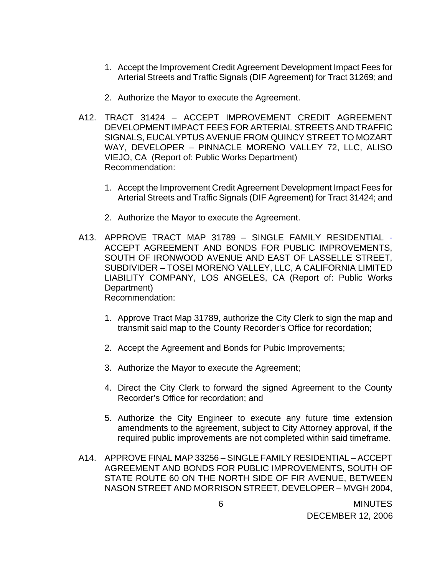- 1. Accept the Improvement Credit Agreement Development Impact Fees for Arterial Streets and Traffic Signals (DIF Agreement) for Tract 31269; and
- 2. Authorize the Mayor to execute the Agreement.
- A12. TRACT 31424 ACCEPT IMPROVEMENT CREDIT AGREEMENT DEVELOPMENT IMPACT FEES FOR ARTERIAL STREETS AND TRAFFIC SIGNALS, EUCALYPTUS AVENUE FROM QUINCY STREET TO MOZART WAY, DEVELOPER – PINNACLE MORENO VALLEY 72, LLC, ALISO VIEJO, CA (Report of: Public Works Department) Recommendation:
	- 1. Accept the Improvement Credit Agreement Development Impact Fees for Arterial Streets and Traffic Signals (DIF Agreement) for Tract 31424; and
	- 2. Authorize the Mayor to execute the Agreement.
- A13. APPROVE TRACT MAP 31789 SINGLE FAMILY RESIDENTIAL ACCEPT AGREEMENT AND BONDS FOR PUBLIC IMPROVEMENTS, SOUTH OF IRONWOOD AVENUE AND EAST OF LASSELLE STREET, SUBDIVIDER – TOSEI MORENO VALLEY, LLC, A CALIFORNIA LIMITED LIABILITY COMPANY, LOS ANGELES, CA (Report of: Public Works Department) Recommendation:
	- 1. Approve Tract Map 31789, authorize the City Clerk to sign the map and transmit said map to the County Recorder's Office for recordation;
	- 2. Accept the Agreement and Bonds for Pubic Improvements;
	- 3. Authorize the Mayor to execute the Agreement;
	- 4. Direct the City Clerk to forward the signed Agreement to the County Recorder's Office for recordation; and
	- 5. Authorize the City Engineer to execute any future time extension amendments to the agreement, subject to City Attorney approval, if the required public improvements are not completed within said timeframe.
- A14. APPROVE FINAL MAP 33256 SINGLE FAMILY RESIDENTIAL ACCEPT AGREEMENT AND BONDS FOR PUBLIC IMPROVEMENTS, SOUTH OF STATE ROUTE 60 ON THE NORTH SIDE OF FIR AVENUE, BETWEEN NASON STREET AND MORRISON STREET, DEVELOPER – MVGH 2004,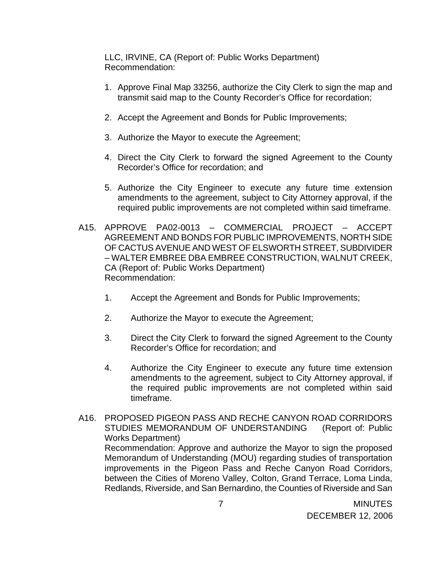LLC, IRVINE, CA (Report of: Public Works Department) Recommendation:

- 1. Approve Final Map 33256, authorize the City Clerk to sign the map and transmit said map to the County Recorder's Office for recordation;
- 2. Accept the Agreement and Bonds for Public Improvements;
- 3. Authorize the Mayor to execute the Agreement;
- 4. Direct the City Clerk to forward the signed Agreement to the County Recorder's Office for recordation; and
- 5. Authorize the City Engineer to execute any future time extension amendments to the agreement, subject to City Attorney approval, if the required public improvements are not completed within said timeframe.
- A15. APPROVE PA02-0013 COMMERCIAL PROJECT ACCEPT AGREEMENT AND BONDS FOR PUBLIC IMPROVEMENTS, NORTH SIDE OF CACTUS AVENUE AND WEST OF ELSWORTH STREET, SUBDIVIDER – WALTER EMBREE DBA EMBREE CONSTRUCTION, WALNUT CREEK, CA (Report of: Public Works Department) Recommendation:
	- 1. Accept the Agreement and Bonds for Public Improvements;
	- 2. Authorize the Mayor to execute the Agreement;
	- 3. Direct the City Clerk to forward the signed Agreement to the County Recorder's Office for recordation; and
	- 4. Authorize the City Engineer to execute any future time extension amendments to the agreement, subject to City Attorney approval, if the required public improvements are not completed within said timeframe.
- A16. PROPOSED PIGEON PASS AND RECHE CANYON ROAD CORRIDORS STUDIES MEMORANDUM OF UNDERSTANDING(Report of: Public Works Department) Recommendation: Approve and authorize the Mayor to sign the proposed Memorandum of Understanding (MOU) regarding studies of transportation improvements in the Pigeon Pass and Reche Canyon Road Corridors, between the Cities of Moreno Valley, Colton, Grand Terrace, Loma Linda, Redlands, Riverside, and San Bernardino, the Counties of Riverside and San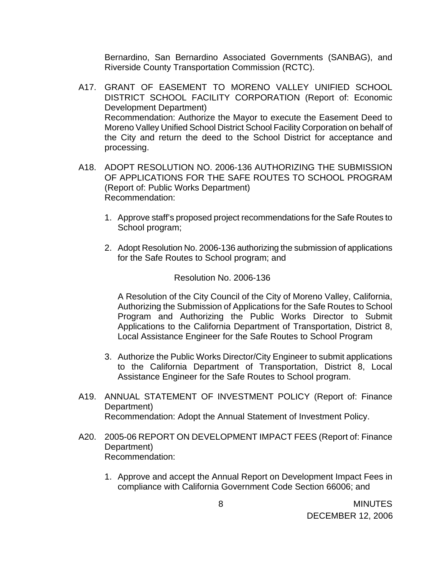Bernardino, San Bernardino Associated Governments (SANBAG), and Riverside County Transportation Commission (RCTC).

- A17. GRANT OF EASEMENT TO MORENO VALLEY UNIFIED SCHOOL DISTRICT SCHOOL FACILITY CORPORATION (Report of: Economic Development Department) Recommendation: Authorize the Mayor to execute the Easement Deed to Moreno Valley Unified School District School Facility Corporation on behalf of the City and return the deed to the School District for acceptance and processing.
- A18. ADOPT RESOLUTION NO. 2006-136 AUTHORIZING THE SUBMISSION OF APPLICATIONS FOR THE SAFE ROUTES TO SCHOOL PROGRAM (Report of: Public Works Department) Recommendation:
	- 1. Approve staff's proposed project recommendations for the Safe Routes to School program;
	- 2. Adopt Resolution No. 2006-136 authorizing the submission of applications for the Safe Routes to School program; and

#### Resolution No. 2006-136

A Resolution of the City Council of the City of Moreno Valley, California, Authorizing the Submission of Applications for the Safe Routes to School Program and Authorizing the Public Works Director to Submit Applications to the California Department of Transportation, District 8, Local Assistance Engineer for the Safe Routes to School Program

- 3. Authorize the Public Works Director/City Engineer to submit applications to the California Department of Transportation, District 8, Local Assistance Engineer for the Safe Routes to School program.
- A19. ANNUAL STATEMENT OF INVESTMENT POLICY (Report of: Finance Department) Recommendation: Adopt the Annual Statement of Investment Policy.
- A20. 2005-06 REPORT ON DEVELOPMENT IMPACT FEES (Report of: Finance Department) Recommendation:
	- 1. Approve and accept the Annual Report on Development Impact Fees in compliance with California Government Code Section 66006; and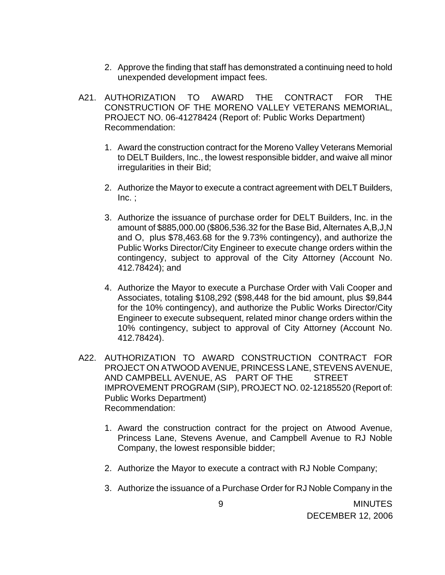- 2. Approve the finding that staff has demonstrated a continuing need to hold unexpended development impact fees.
- A21. AUTHORIZATION TO AWARD THE CONTRACT FOR THE CONSTRUCTION OF THE MORENO VALLEY VETERANS MEMORIAL, PROJECT NO. 06-41278424 (Report of: Public Works Department) Recommendation:
	- 1. Award the construction contract for the Moreno Valley Veterans Memorial to DELT Builders, Inc., the lowest responsible bidder, and waive all minor irregularities in their Bid;
	- 2. Authorize the Mayor to execute a contract agreement with DELT Builders,  $Inc.$ :
	- 3. Authorize the issuance of purchase order for DELT Builders, Inc. in the amount of \$885,000.00 (\$806,536.32 for the Base Bid, Alternates A,B,J,N and O, plus \$78,463.68 for the 9.73% contingency), and authorize the Public Works Director/City Engineer to execute change orders within the contingency, subject to approval of the City Attorney (Account No. 412.78424); and
	- 4. Authorize the Mayor to execute a Purchase Order with Vali Cooper and Associates, totaling \$108,292 (\$98,448 for the bid amount, plus \$9,844 for the 10% contingency), and authorize the Public Works Director/City Engineer to execute subsequent, related minor change orders within the 10% contingency, subject to approval of City Attorney (Account No. 412.78424).
- A22. AUTHORIZATION TO AWARD CONSTRUCTION CONTRACT FOR PROJECT ON ATWOOD AVENUE, PRINCESS LANE, STEVENS AVENUE, AND CAMPBELL AVENUE, AS PART OF THE STREET IMPROVEMENT PROGRAM (SIP), PROJECT NO. 02-12185520 (Report of: Public Works Department) Recommendation:
	- 1. Award the construction contract for the project on Atwood Avenue, Princess Lane, Stevens Avenue, and Campbell Avenue to RJ Noble Company, the lowest responsible bidder;
	- 2. Authorize the Mayor to execute a contract with RJ Noble Company;
	- 3. Authorize the issuance of a Purchase Order for RJ Noble Company in the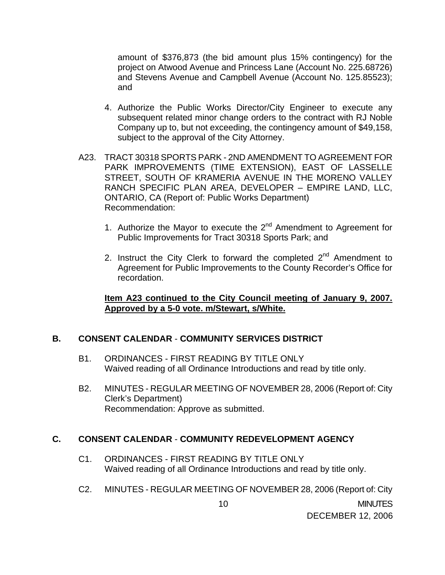amount of \$376,873 (the bid amount plus 15% contingency) for the project on Atwood Avenue and Princess Lane (Account No. 225.68726) and Stevens Avenue and Campbell Avenue (Account No. 125.85523); and

- 4. Authorize the Public Works Director/City Engineer to execute any subsequent related minor change orders to the contract with RJ Noble Company up to, but not exceeding, the contingency amount of \$49,158, subject to the approval of the City Attorney.
- A23. TRACT 30318 SPORTS PARK 2ND AMENDMENT TO AGREEMENT FOR PARK IMPROVEMENTS (TIME EXTENSION), EAST OF LASSELLE STREET, SOUTH OF KRAMERIA AVENUE IN THE MORENO VALLEY RANCH SPECIFIC PLAN AREA, DEVELOPER – EMPIRE LAND, LLC, ONTARIO, CA (Report of: Public Works Department) Recommendation:
	- 1. Authorize the Mayor to execute the  $2<sup>nd</sup>$  Amendment to Agreement for Public Improvements for Tract 30318 Sports Park; and
	- 2. Instruct the City Clerk to forward the completed  $2^{nd}$  Amendment to Agreement for Public Improvements to the County Recorder's Office for recordation.

### **Item A23 continued to the City Council meeting of January 9, 2007. Approved by a 5-0 vote. m/Stewart, s/White.**

# **B. CONSENT CALENDAR** - **COMMUNITY SERVICES DISTRICT**

- B1. ORDINANCES FIRST READING BY TITLE ONLY Waived reading of all Ordinance Introductions and read by title only.
- B2. MINUTES REGULAR MEETING OF NOVEMBER 28, 2006 (Report of: City Clerk's Department) Recommendation: Approve as submitted.

# **C. CONSENT CALENDAR** - **COMMUNITY REDEVELOPMENT AGENCY**

- C1. ORDINANCES FIRST READING BY TITLE ONLY Waived reading of all Ordinance Introductions and read by title only.
- C2. MINUTES REGULAR MEETING OF NOVEMBER 28, 2006 (Report of: City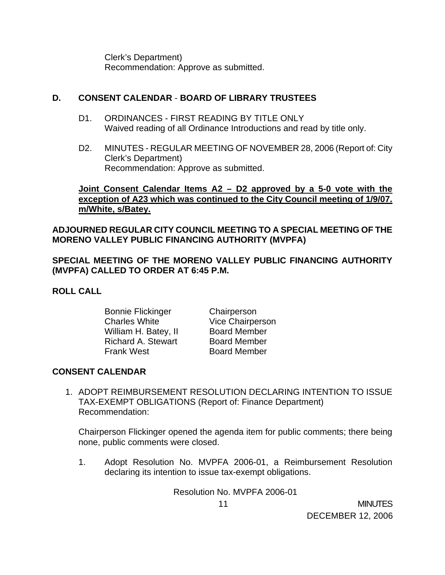Clerk's Department) Recommendation: Approve as submitted.

### **D. CONSENT CALENDAR** - **BOARD OF LIBRARY TRUSTEES**

- D1. ORDINANCES FIRST READING BY TITLE ONLY Waived reading of all Ordinance Introductions and read by title only.
- D2. MINUTES REGULAR MEETING OF NOVEMBER 28, 2006 (Report of: City Clerk's Department) Recommendation: Approve as submitted.

# **Joint Consent Calendar Items A2 – D2 approved by a 5-0 vote with the exception of A23 which was continued to the City Council meeting of 1/9/07. m/White, s/Batey.**

# **ADJOURNED REGULAR CITY COUNCIL MEETING TO A SPECIAL MEETING OF THE MORENO VALLEY PUBLIC FINANCING AUTHORITY (MVPFA)**

**SPECIAL MEETING OF THE MORENO VALLEY PUBLIC FINANCING AUTHORITY (MVPFA) CALLED TO ORDER AT 6:45 P.M.** 

### **ROLL CALL**

 Bonnie Flickinger Chairperson Charles White **Vice Chairperson** William H. Batey, II Board Member Richard A. Stewart Board Member Frank West Board Member

# **CONSENT CALENDAR**

1. ADOPT REIMBURSEMENT RESOLUTION DECLARING INTENTION TO ISSUE TAX-EXEMPT OBLIGATIONS (Report of: Finance Department) Recommendation:

 Chairperson Flickinger opened the agenda item for public comments; there being none, public comments were closed.

1. Adopt Resolution No. MVPFA 2006-01, a Reimbursement Resolution declaring its intention to issue tax-exempt obligations.

Resolution No. MVPFA 2006-01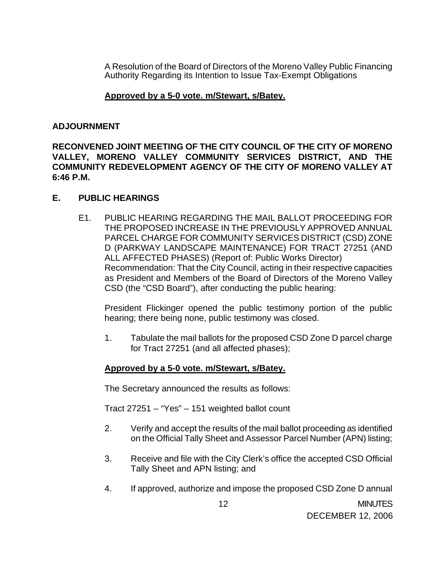A Resolution of the Board of Directors of the Moreno Valley Public Financing Authority Regarding its Intention to Issue Tax-Exempt Obligations

### **Approved by a 5-0 vote. m/Stewart, s/Batey.**

#### **ADJOURNMENT**

**RECONVENED JOINT MEETING OF THE CITY COUNCIL OF THE CITY OF MORENO VALLEY, MORENO VALLEY COMMUNITY SERVICES DISTRICT, AND THE COMMUNITY REDEVELOPMENT AGENCY OF THE CITY OF MORENO VALLEY AT 6:46 P.M.** 

#### **E. PUBLIC HEARINGS**

E1. PUBLIC HEARING REGARDING THE MAIL BALLOT PROCEEDING FOR THE PROPOSED INCREASE IN THE PREVIOUSLY APPROVED ANNUAL PARCEL CHARGE FOR COMMUNITY SERVICES DISTRICT (CSD) ZONE D (PARKWAY LANDSCAPE MAINTENANCE) FOR TRACT 27251 (AND ALL AFFECTED PHASES) (Report of: Public Works Director) Recommendation: That the City Council, acting in their respective capacities as President and Members of the Board of Directors of the Moreno Valley CSD (the "CSD Board"), after conducting the public hearing:

 President Flickinger opened the public testimony portion of the public hearing; there being none, public testimony was closed.

1. Tabulate the mail ballots for the proposed CSD Zone D parcel charge for Tract 27251 (and all affected phases);

### **Approved by a 5-0 vote. m/Stewart, s/Batey.**

The Secretary announced the results as follows:

Tract 27251 – "Yes" – 151 weighted ballot count

- 2. Verify and accept the results of the mail ballot proceeding as identified on the Official Tally Sheet and Assessor Parcel Number (APN) listing;
- 3. Receive and file with the City Clerk's office the accepted CSD Official Tally Sheet and APN listing; and
- 4. If approved, authorize and impose the proposed CSD Zone D annual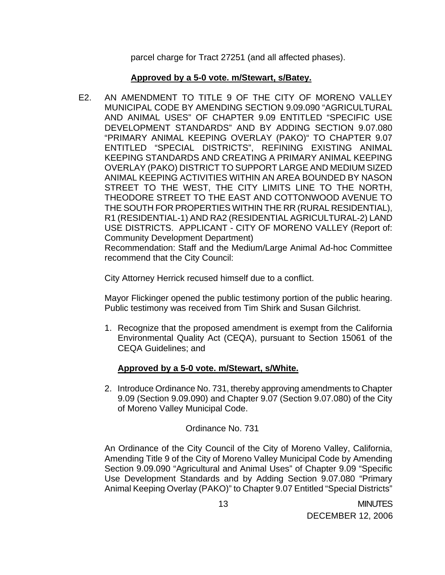parcel charge for Tract 27251 (and all affected phases).

# **Approved by a 5-0 vote. m/Stewart, s/Batey.**

E2. AN AMENDMENT TO TITLE 9 OF THE CITY OF MORENO VALLEY MUNICIPAL CODE BY AMENDING SECTION 9.09.090 "AGRICULTURAL AND ANIMAL USES" OF CHAPTER 9.09 ENTITLED "SPECIFIC USE DEVELOPMENT STANDARDS" AND BY ADDING SECTION 9.07.080 "PRIMARY ANIMAL KEEPING OVERLAY (PAKO)" TO CHAPTER 9.07 ENTITLED "SPECIAL DISTRICTS", REFINING EXISTING ANIMAL KEEPING STANDARDS AND CREATING A PRIMARY ANIMAL KEEPING OVERLAY (PAKO) DISTRICT TO SUPPORT LARGE AND MEDIUM SIZED ANIMAL KEEPING ACTIVITIES WITHIN AN AREA BOUNDED BY NASON STREET TO THE WEST, THE CITY LIMITS LINE TO THE NORTH, THEODORE STREET TO THE EAST AND COTTONWOOD AVENUE TO THE SOUTH FOR PROPERTIES WITHIN THE RR (RURAL RESIDENTIAL), R1 (RESIDENTIAL-1) AND RA2 (RESIDENTIAL AGRICULTURAL-2) LAND USE DISTRICTS. APPLICANT - CITY OF MORENO VALLEY (Report of: Community Development Department)

 Recommendation: Staff and the Medium/Large Animal Ad-hoc Committee recommend that the City Council:

City Attorney Herrick recused himself due to a conflict.

 Mayor Flickinger opened the public testimony portion of the public hearing. Public testimony was received from Tim Shirk and Susan Gilchrist.

1. Recognize that the proposed amendment is exempt from the California Environmental Quality Act (CEQA), pursuant to Section 15061 of the CEQA Guidelines; and

# **Approved by a 5-0 vote. m/Stewart, s/White.**

2. Introduce Ordinance No. 731, thereby approving amendments to Chapter 9.09 (Section 9.09.090) and Chapter 9.07 (Section 9.07.080) of the City of Moreno Valley Municipal Code.

# Ordinance No. 731

An Ordinance of the City Council of the City of Moreno Valley, California, Amending Title 9 of the City of Moreno Valley Municipal Code by Amending Section 9.09.090 "Agricultural and Animal Uses" of Chapter 9.09 "Specific Use Development Standards and by Adding Section 9.07.080 "Primary Animal Keeping Overlay (PAKO)" to Chapter 9.07 Entitled "Special Districts"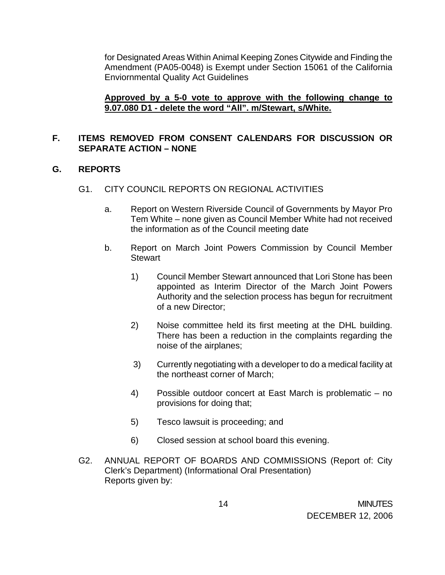for Designated Areas Within Animal Keeping Zones Citywide and Finding the Amendment (PA05-0048) is Exempt under Section 15061 of the California Enviornmental Quality Act Guidelines

### **Approved by a 5-0 vote to approve with the following change to 9.07.080 D1 - delete the word "All". m/Stewart, s/White.**

# **F. ITEMS REMOVED FROM CONSENT CALENDARS FOR DISCUSSION OR SEPARATE ACTION – NONE**

### **G. REPORTS**

### G1. CITY COUNCIL REPORTS ON REGIONAL ACTIVITIES

- a. Report on Western Riverside Council of Governments by Mayor Pro Tem White – none given as Council Member White had not received the information as of the Council meeting date
- b. Report on March Joint Powers Commission by Council Member **Stewart** 
	- 1) Council Member Stewart announced that Lori Stone has been appointed as Interim Director of the March Joint Powers Authority and the selection process has begun for recruitment of a new Director;
	- 2) Noise committee held its first meeting at the DHL building. There has been a reduction in the complaints regarding the noise of the airplanes;
	- 3) Currently negotiating with a developer to do a medical facility at the northeast corner of March;
	- 4) Possible outdoor concert at East March is problematic no provisions for doing that;
	- 5) Tesco lawsuit is proceeding; and
	- 6) Closed session at school board this evening.
- G2. ANNUAL REPORT OF BOARDS AND COMMISSIONS (Report of: City Clerk's Department) (Informational Oral Presentation) Reports given by: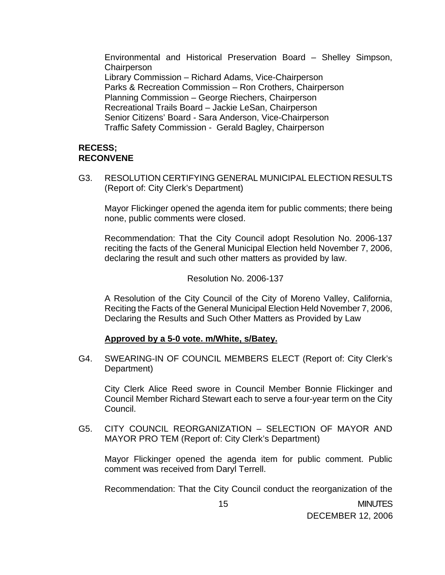Environmental and Historical Preservation Board – Shelley Simpson, **Chairperson**  Library Commission – Richard Adams, Vice-Chairperson Parks & Recreation Commission – Ron Crothers, Chairperson Planning Commission – George Riechers, Chairperson Recreational Trails Board – Jackie LeSan, Chairperson Senior Citizens' Board - Sara Anderson, Vice-Chairperson Traffic Safety Commission - Gerald Bagley, Chairperson

#### **RECESS; RECONVENE**

G3. RESOLUTION CERTIFYING GENERAL MUNICIPAL ELECTION RESULTS (Report of: City Clerk's Department)

Mayor Flickinger opened the agenda item for public comments; there being none, public comments were closed.

 Recommendation: That the City Council adopt Resolution No. 2006-137 reciting the facts of the General Municipal Election held November 7, 2006, declaring the result and such other matters as provided by law.

#### Resolution No. 2006-137

A Resolution of the City Council of the City of Moreno Valley, California, Reciting the Facts of the General Municipal Election Held November 7, 2006, Declaring the Results and Such Other Matters as Provided by Law

#### **Approved by a 5-0 vote. m/White, s/Batey.**

G4. SWEARING-IN OF COUNCIL MEMBERS ELECT (Report of: City Clerk's Department)

 City Clerk Alice Reed swore in Council Member Bonnie Flickinger and Council Member Richard Stewart each to serve a four-year term on the City Council.

G5. CITY COUNCIL REORGANIZATION – SELECTION OF MAYOR AND MAYOR PRO TEM (Report of: City Clerk's Department)

Mayor Flickinger opened the agenda item for public comment. Public comment was received from Daryl Terrell.

Recommendation: That the City Council conduct the reorganization of the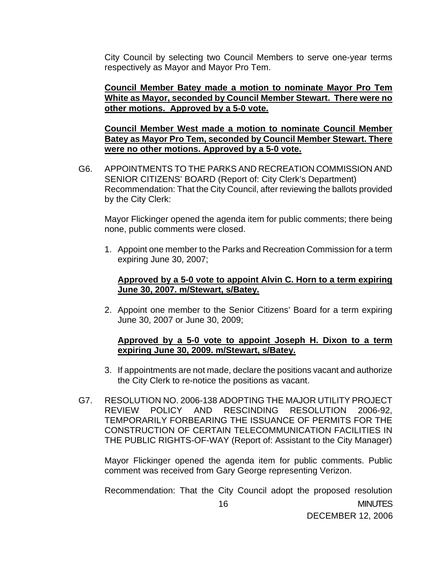City Council by selecting two Council Members to serve one-year terms respectively as Mayor and Mayor Pro Tem.

### **Council Member Batey made a motion to nominate Mayor Pro Tem White as Mayor, seconded by Council Member Stewart. There were no other motions. Approved by a 5-0 vote.**

 **Council Member West made a motion to nominate Council Member Batey as Mayor Pro Tem, seconded by Council Member Stewart. There were no other motions. Approved by a 5-0 vote.**

G6. APPOINTMENTS TO THE PARKS AND RECREATION COMMISSION AND SENIOR CITIZENS' BOARD (Report of: City Clerk's Department) Recommendation: That the City Council, after reviewing the ballots provided by the City Clerk:

Mayor Flickinger opened the agenda item for public comments; there being none, public comments were closed.

1. Appoint one member to the Parks and Recreation Commission for a term expiring June 30, 2007;

#### **Approved by a 5-0 vote to appoint Alvin C. Horn to a term expiring June 30, 2007. m/Stewart, s/Batey.**

2. Appoint one member to the Senior Citizens' Board for a term expiring June 30, 2007 or June 30, 2009;

### **Approved by a 5-0 vote to appoint Joseph H. Dixon to a term expiring June 30, 2009. m/Stewart, s/Batey.**

- 3. If appointments are not made, declare the positions vacant and authorize the City Clerk to re-notice the positions as vacant.
- G7. RESOLUTION NO. 2006-138 ADOPTING THE MAJOR UTILITY PROJECT REVIEW POLICY AND RESCINDING RESOLUTION 2006-92, TEMPORARILY FORBEARING THE ISSUANCE OF PERMITS FOR THE CONSTRUCTION OF CERTAIN TELECOMMUNICATION FACILITIES IN THE PUBLIC RIGHTS-OF-WAY (Report of: Assistant to the City Manager)

Mayor Flickinger opened the agenda item for public comments. Public comment was received from Gary George representing Verizon.

 16 MINUTES DECEMBER 12, 2006 Recommendation: That the City Council adopt the proposed resolution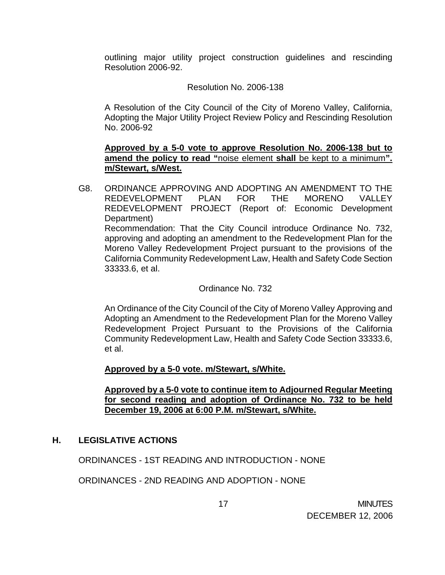outlining major utility project construction guidelines and rescinding Resolution 2006-92.

### Resolution No. 2006-138

A Resolution of the City Council of the City of Moreno Valley, California, Adopting the Major Utility Project Review Policy and Rescinding Resolution No. 2006-92

### **Approved by a 5-0 vote to approve Resolution No. 2006-138 but to amend the policy to read "**noise element **shall** be kept to a minimum**". m/Stewart, s/West.**

G8. ORDINANCE APPROVING AND ADOPTING AN AMENDMENT TO THE REDEVELOPMENT PLAN FOR THE MORENO VALLEY REDEVELOPMENT PROJECT (Report of: Economic Development Department) Recommendation: That the City Council introduce Ordinance No. 732, approving and adopting an amendment to the Redevelopment Plan for the Moreno Valley Redevelopment Project pursuant to the provisions of the California Community Redevelopment Law, Health and Safety Code Section 33333.6, et al.

#### Ordinance No. 732

An Ordinance of the City Council of the City of Moreno Valley Approving and Adopting an Amendment to the Redevelopment Plan for the Moreno Valley Redevelopment Project Pursuant to the Provisions of the California Community Redevelopment Law, Health and Safety Code Section 33333.6, et al.

### **Approved by a 5-0 vote. m/Stewart, s/White.**

#### **Approved by a 5-0 vote to continue item to Adjourned Regular Meeting for second reading and adoption of Ordinance No. 732 to be held December 19, 2006 at 6:00 P.M. m/Stewart, s/White.**

### **H. LEGISLATIVE ACTIONS**

ORDINANCES - 1ST READING AND INTRODUCTION - NONE

ORDINANCES - 2ND READING AND ADOPTION - NONE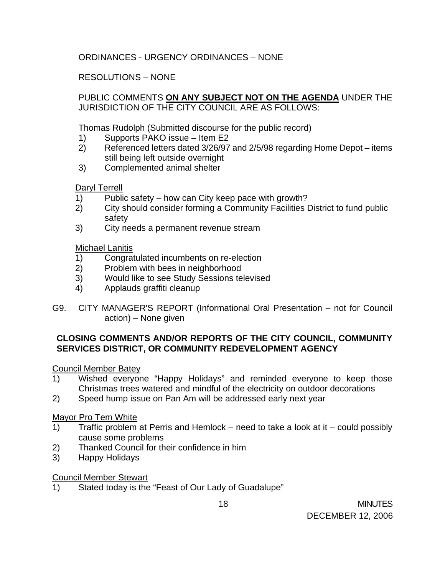# ORDINANCES - URGENCY ORDINANCES – NONE

# RESOLUTIONS – NONE

PUBLIC COMMENTS **ON ANY SUBJECT NOT ON THE AGENDA** UNDER THE JURISDICTION OF THE CITY COUNCIL ARE AS FOLLOWS:

### Thomas Rudolph (Submitted discourse for the public record)

- 1) Supports PAKO issue Item E2
- 2) Referenced letters dated 3/26/97 and 2/5/98 regarding Home Depot items still being left outside overnight
- 3) Complemented animal shelter

Daryl Terrell

- 1) Public safety how can City keep pace with growth?
- 2) City should consider forming a Community Facilities District to fund public safety
- 3) City needs a permanent revenue stream

# Michael Lanitis

- 1) Congratulated incumbents on re-election
- 2) Problem with bees in neighborhood
- 3) Would like to see Study Sessions televised
- 4) Applauds graffiti cleanup
- G9. CITY MANAGER'S REPORT (Informational Oral Presentation not for Council action) – None given

# **CLOSING COMMENTS AND/OR REPORTS OF THE CITY COUNCIL, COMMUNITY SERVICES DISTRICT, OR COMMUNITY REDEVELOPMENT AGENCY**

# Council Member Batey

- 1) Wished everyone "Happy Holidays" and reminded everyone to keep those Christmas trees watered and mindful of the electricity on outdoor decorations
- 2) Speed hump issue on Pan Am will be addressed early next year

# Mayor Pro Tem White

- 1) Traffic problem at Perris and Hemlock need to take a look at it could possibly cause some problems
- 2) Thanked Council for their confidence in him
- 3) Happy Holidays

# Council Member Stewart

1) Stated today is the "Feast of Our Lady of Guadalupe"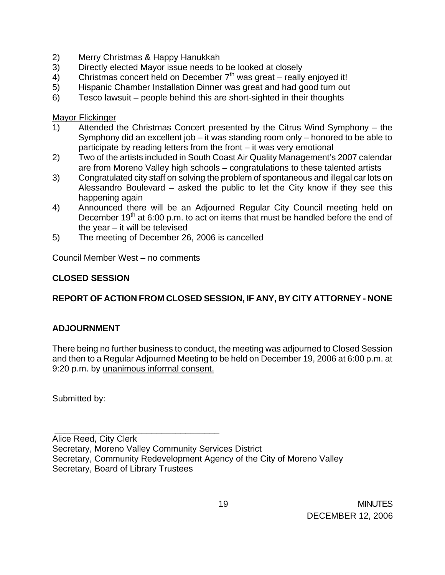- 2) Merry Christmas & Happy Hanukkah
- 3) Directly elected Mayor issue needs to be looked at closely
- $4)$  Christmas concert held on December  $7<sup>th</sup>$  was great really enjoyed it!
- 5) Hispanic Chamber Installation Dinner was great and had good turn out
- 6) Tesco lawsuit people behind this are short-sighted in their thoughts

Mayor Flickinger

- 1) Attended the Christmas Concert presented by the Citrus Wind Symphony the Symphony did an excellent job – it was standing room only – honored to be able to participate by reading letters from the front – it was very emotional
- 2) Two of the artists included in South Coast Air Quality Management's 2007 calendar are from Moreno Valley high schools – congratulations to these talented artists
- 3) Congratulated city staff on solving the problem of spontaneous and illegal car lots on Alessandro Boulevard – asked the public to let the City know if they see this happening again
- 4) Announced there will be an Adjourned Regular City Council meeting held on December 19<sup>th</sup> at 6:00 p.m. to act on items that must be handled before the end of the year – it will be televised
- 5) The meeting of December 26, 2006 is cancelled

Council Member West – no comments

\_\_\_\_\_\_\_\_\_\_\_\_\_\_\_\_\_\_\_\_\_\_\_\_\_\_\_\_\_\_\_\_\_\_

# **CLOSED SESSION**

# **REPORT OF ACTION FROM CLOSED SESSION, IF ANY, BY CITY ATTORNEY - NONE**

# **ADJOURNMENT**

There being no further business to conduct, the meeting was adjourned to Closed Session and then to a Regular Adjourned Meeting to be held on December 19, 2006 at 6:00 p.m. at 9:20 p.m. by unanimous informal consent.

Submitted by:

Alice Reed, City Clerk Secretary, Moreno Valley Community Services District Secretary, Community Redevelopment Agency of the City of Moreno Valley Secretary, Board of Library Trustees